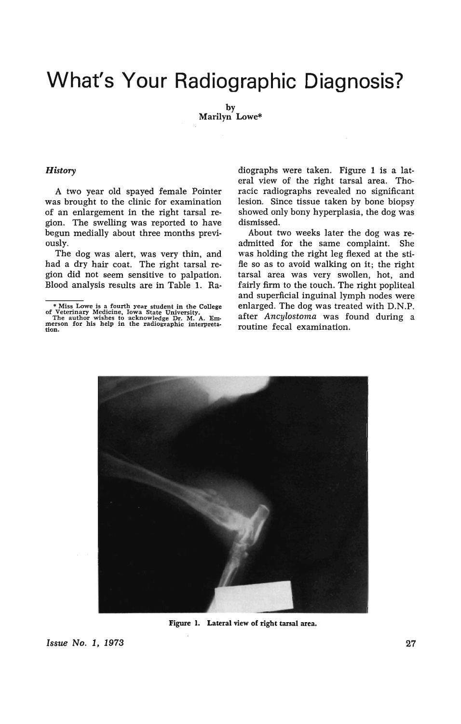# **What's Your Radiographic Diagnosis?**

by Marilyn Lowe\*

#### *History*

A two year old spayed female Pointer was brought to the clinic for examination of an enlargement in the right tarsal region. The swelling was reported to have begun medially about three months previously.

The dog was alert, was very thin, and had a dry hair coat. The right tarsal region did not seem sensitive to palpation. Blood analysis results are in Table 1. Ra-

diographs were taken. Figure 1 is a lateral view of the right tarsal area. Thoracic radiographs revealed no significant lesion. Since tissue taken by bone biopsy showed only bony hyperplasia, the dog was dismissed.

About two weeks later the dog was readmitted for the same complaint. She was holding the right leg flexed at the stifle so as to avoid walking on it; the right tarsal area was very swollen, hot, and fairly firm to the touch. The right popliteal and superficial inguinal lymph nodes were enlarged. The dog was treated with D.N.P. after *Ancylostoma* was found during a routine fecal examination.



Figure 1. Lateral view of right tarsal area.

Issue No.1, 1973 27

<sup>\*</sup> Miss Lowe is a fourth year student in the College of Veterinary Medicine, Iowa State University. The author wishes to 'acknowledge Dr. M. A. Em- merson for his help in the radiographic interpreta- tion.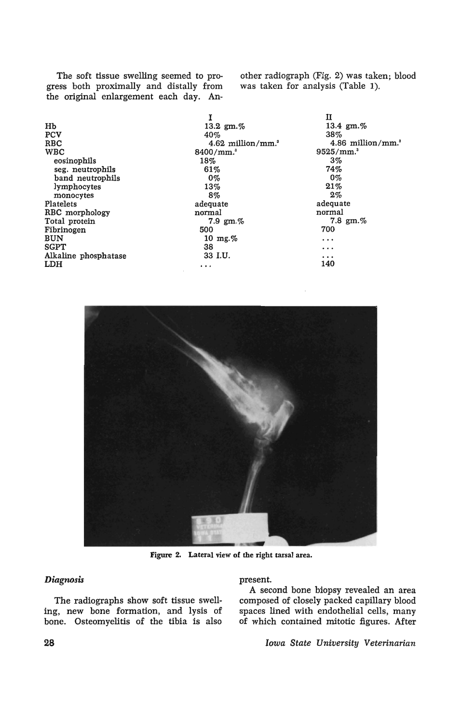The soft tissue swelling seemed to progress both proximally and distally from the original enlargement each day. Another radiograph (Fig. 2) was taken; blood was taken for analysis (Table 1).

|                      |                                 | п                               |
|----------------------|---------------------------------|---------------------------------|
| Hb                   | 13.2 $gm\%$                     | 13.4 gm.%                       |
| <b>PCV</b>           | 40%                             | 38%                             |
| <b>RBC</b>           | $4.62$ million/mm. <sup>3</sup> | $4.86$ million/mm. <sup>3</sup> |
| <b>WBC</b>           | 8400/mm. <sup>3</sup>           | 9525/mm. <sup>3</sup>           |
| eosinophils          | 18%                             | 3%                              |
| seg. neutrophils     | 61%                             | 74%                             |
| band neutrophils     | $0\%$                           | $0\%$                           |
| lymphocytes          | 13%                             | 21%                             |
| monocytes            | 8%                              | $2\%$                           |
| Platelets            | adequate                        | adequate                        |
| RBC morphology       | normal                          | normal                          |
| Total protein        | 7.9 $gm. \%$                    | 7.8 $gm. \%$                    |
| Fibrinogen           | 500                             | 700                             |
| <b>BUN</b>           | 10 mg. $%$                      | $\cdots$                        |
| <b>SGPT</b>          | 38                              | $\cdots$                        |
| Alkaline phosphatase | 33 I.U.                         | $\cdots$                        |
| LDH                  | $\cdots$                        | 140                             |



Figure 2. Lateral view of the right tarsal area.

### *Diagnosis*

The radiographs show soft tissue swelling, new bone formation, and lysis of bone. Osteomyelitis of the tibia is also

#### present.

A second bone biopsy revealed an area composed of closely packed capillary blood spaces lined with endothelial cells, many of which contained mitotic figures. After

28 *Iowa State University Veterinarian*